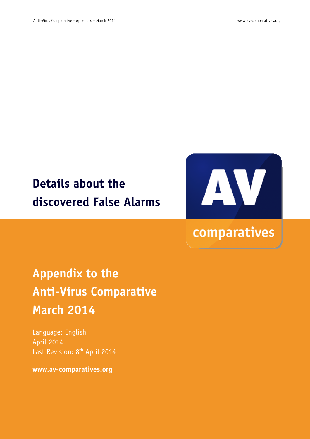# **Details about the discovered False Alarms**



## comparatives

# **Appendix to the Anti-Virus Comparative March 2014**

Language: English April 2014 Last Revision: 8<sup>th</sup> April 2014

**www.av-comparatives.org**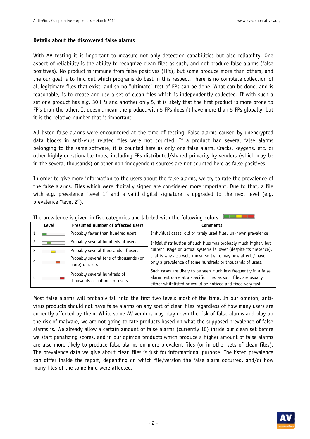## **Details about the discovered false alarms**

With AV testing it is important to measure not only detection capabilities but also reliability. One aspect of reliability is the ability to recognize clean files as such, and not produce false alarms (false positives). No product is immune from false positives (FPs), but some produce more than others, and the our goal is to find out which programs do best in this respect. There is no complete collection of all legitimate files that exist, and so no "ultimate" test of FPs can be done. What can be done, and is reasonable, is to create and use a set of clean files which is independently collected. If with such a set one product has e.g. 30 FPs and another only 5, it is likely that the first product is more prone to FP's than the other. It doesn't mean the product with 5 FPs doesn't have more than 5 FPs globally, but it is the relative number that is important.

All listed false alarms were encountered at the time of testing. False alarms caused by unencrypted data blocks in anti-virus related files were not counted. If a product had several false alarms belonging to the same software, it is counted here as only one false alarm. Cracks, keygens, etc. or other highly questionable tools, including FPs distributed/shared primarily by vendors (which may be in the several thousands) or other non-independent sources are not counted here as false positives.

In order to give more information to the users about the false alarms, we try to rate the prevalence of the false alarms. Files which were digitally signed are considered more important. Due to that, a file with e.g. prevalence "level 1" and a valid digital signature is upgraded to the next level (e.g. prevalence "level 2").

|   | Level | Presumed number of affected users                              | Comments                                                                                                                                                                                         |
|---|-------|----------------------------------------------------------------|--------------------------------------------------------------------------------------------------------------------------------------------------------------------------------------------------|
|   |       | Probably fewer than hundred users                              | Individual cases, old or rarely used files, unknown prevalence                                                                                                                                   |
|   |       | Probably several hundreds of users                             | Initial distribution of such files was probably much higher, but                                                                                                                                 |
|   |       | Probably several thousands of users                            | current usage on actual systems is lower (despite its presence),                                                                                                                                 |
| 4 |       | Probably several tens of thousands (or<br>more) of users       | that is why also well-known software may now affect / have<br>only a prevalence of some hundreds or thousands of users.                                                                          |
| 5 |       | Probably several hundreds of<br>thousands or millions of users | Such cases are likely to be seen much less frequently in a false<br>alarm test done at a specific time, as such files are usually<br>either whitelisted or would be noticed and fixed very fast. |

The prevalence is given in five categories and labeled with the following colors:  $\mathbb{I}$ 

Most false alarms will probably fall into the first two levels most of the time. In our opinion, antivirus products should not have false alarms on any sort of clean files regardless of how many users are currently affected by them. While some AV vendors may play down the risk of false alarms and play up the risk of malware, we are not going to rate products based on what the supposed prevalence of false alarms is. We already allow a certain amount of false alarms (currently 10) inside our clean set before we start penalizing scores, and in our opinion products which produce a higher amount of false alarms are also more likely to produce false alarms on more prevalent files (or in other sets of clean files). The prevalence data we give about clean files is just for informational purpose. The listed prevalence can differ inside the report, depending on which file/version the false alarm occurred, and/or how many files of the same kind were affected.

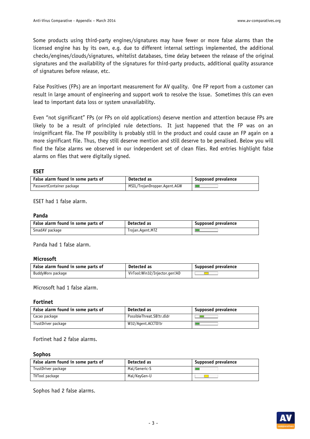Some products using third-party engines/signatures may have fewer or more false alarms than the licensed engine has by its own, e.g. due to different internal settings implemented, the additional checks/engines/clouds/signatures, whitelist databases, time delay between the release of the original signatures and the availability of the signatures for third-party products, additional quality assurance of signatures before release, etc.

False Positives (FPs) are an important measurement for AV quality. One FP report from a customer can result in large amount of engineering and support work to resolve the issue. Sometimes this can even lead to important data loss or system unavailability.

Even "not significant" FPs (or FPs on old applications) deserve mention and attention because FPs are likely to be a result of principled rule detections. It just happened that the FP was on an insignificant file. The FP possibility is probably still in the product and could cause an FP again on a more significant file. Thus, they still deserve mention and still deserve to be penalised. Below you will find the false alarms we observed in our independent set of clean files. Red entries highlight false alarms on files that were digitally signed.

#### **ESET**

| False alarm found in some parts of | Detected as                  | Supposed prevalence |
|------------------------------------|------------------------------|---------------------|
| PasswortContainer package          | MSIL/TrojanDropper.Agent.AGW |                     |

ESET had 1 false alarm.

#### **Panda**

| False alarm found in some parts of | Detected as      | Supposed prevalence |
|------------------------------------|------------------|---------------------|
| SmadAV package                     | Trojan.Agent.MTZ |                     |

Panda had 1 false alarm.

#### **Microsoft**

| False alarm found in some parts of | Detected as                   | Supposed prevalence |
|------------------------------------|-------------------------------|---------------------|
| BuddyWorx package                  | VirTool:Win32/Injector.gen!AD |                     |

Microsoft had 1 false alarm.

#### **Fortinet**

| False alarm found in some parts of | Detected as               | Supposed prevalence |
|------------------------------------|---------------------------|---------------------|
| Cacao package                      | PossibleThreat.SB!tr.dldr |                     |
| TrustDriver package                | W32/Agent.ACCTD!tr        |                     |

Fortinet had 2 false alarms.

#### **Sophos**

| False alarm found in some parts of | Detected as   | Supposed prevalence |
|------------------------------------|---------------|---------------------|
| TrustDriver package                | Mal/Generic-S |                     |
| TVTool package                     | Mal/KeyGen-U  |                     |

Sophos had 2 false alarms.

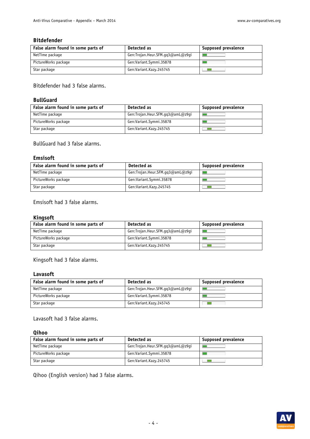#### **Bitdefender**

| False alarm found in some parts of | Detected as                      | Supposed prevalence |
|------------------------------------|----------------------------------|---------------------|
| NetTime package                    | Gen:Trojan.Heur.SFM.gq3@amL@z9gi |                     |
| PictureWorks package               | Gen:Variant.Symmi.35878          |                     |
| Star package                       | Gen:Variant.Kazy.245745          |                     |

Bitdefender had 3 false alarms.

## **BullGuard**

| False alarm found in some parts of | Detected as                      | Supposed prevalence |
|------------------------------------|----------------------------------|---------------------|
| NetTime package                    | Gen:Trojan.Heur.SFM.qq3@amL@z9qi |                     |
| PictureWorks package               | Gen:Variant.Symmi.35878          |                     |
| Star package                       | Gen:Variant.Kazy.245745          |                     |

BullGuard had 3 false alarms.

## **Emsisoft**

| False alarm found in some parts of | Detected as                      | Supposed prevalence |
|------------------------------------|----------------------------------|---------------------|
| NetTime package                    | Gen:Trojan.Heur.SFM.qq3@amL@z9qi |                     |
| PictureWorks package               | Gen:Variant.Symmi.35878          |                     |
| Star package                       | Gen:Variant.Kazy.245745          |                     |

Emsisoft had 3 false alarms.

#### **Kingsoft**

| False alarm found in some parts of | Detected as                      | Supposed prevalence |
|------------------------------------|----------------------------------|---------------------|
| NetTime package                    | Gen:Trojan.Heur.SFM.qq3@amL@z9qi |                     |
| PictureWorks package               | Gen:Variant.Symmi.35878          |                     |
| Star package                       | Gen:Variant.Kazy.245745          |                     |

Kingsoft had 3 false alarms.

## **Lavasoft**

| False alarm found in some parts of | Detected as                      | <b>Supposed prevalence</b> |
|------------------------------------|----------------------------------|----------------------------|
| NetTime package                    | Gen:Trojan.Heur.SFM.qq3@amL@z9qi |                            |
| PictureWorks package               | Gen:Variant.Symmi.35878          |                            |
| Star package                       | Gen:Variant.Kazy.245745          |                            |

Lavasoft had 3 false alarms.

#### **Qihoo**

| False alarm found in some parts of | Detected as                      | Supposed prevalence |
|------------------------------------|----------------------------------|---------------------|
| NetTime package                    | Gen:Trojan.Heur.SFM.qq3@amL@z9qi |                     |
| PictureWorks package               | Gen:Variant.Symmi.35878          |                     |
| Star package                       | Gen:Variant.Kazy.245745          |                     |

Qihoo (English version) had 3 false alarms.

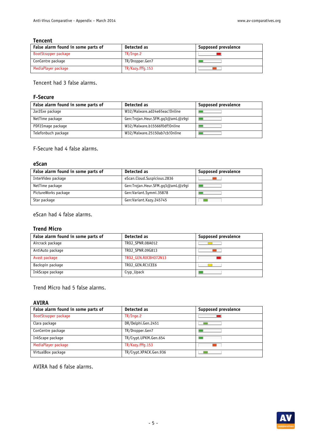#### **Tencent**

| False alarm found in some parts of | Detected as      | Supposed prevalence |
|------------------------------------|------------------|---------------------|
| BootStrapper package               | TR/Inge.2        |                     |
| ConCentre package                  | TR/Dropper.Gen7  |                     |
| MediaPlayer package                | TR/Kazy.fffq.153 |                     |

Tencent had 3 false alarms.

## **F-Secure**

| False alarm found in some parts of | Detected as                      | Supposed prevalence |
|------------------------------------|----------------------------------|---------------------|
| Jar2Exe package                    | W32/Malware.ad24e65eac!Online    |                     |
| NetTime package                    | Gen:Trojan.Heur.SFM.qq3@amL@z9qi |                     |
| PDF2Image package                  | W32/Malware.b15566f0df!Online    |                     |
| Telefonbuch package                | W32/Malware.25150ab7cb!Online    |                     |

F-Secure had 4 false alarms.

### **eScan**

| False alarm found in some parts of | Detected as                      | Supposed prevalence |
|------------------------------------|----------------------------------|---------------------|
| InterVideo package                 | eScan.Cloud.Suspicious.2836      |                     |
| NetTime package                    | Gen:Trojan.Heur.SFM.qq3@amL@z9qi |                     |
| PictureWorks package               | Gen:Variant.Symmi.35878          |                     |
| Star package                       | Gen:Variant.Kazy.245745          |                     |

eScan had 4 false alarms.

## **Trend Micro**

| False alarm found in some parts of | Detected as          | Supposed prevalence |
|------------------------------------|----------------------|---------------------|
| Aircrack package                   | TROJ SPNR.08A012     |                     |
| AntiAuto package                   | TROJ SPNR.09G813     |                     |
| Avast package                      | TROJ GEN.ROCBH07JN13 |                     |
| Backspin package                   | TROJ GEN.RC1CEE6     |                     |
| InkScape package                   | Cryp_Upack           |                     |

Trend Micro had 5 false alarms.

#### **AVIRA**

| False alarm found in some parts of | Detected as            | Supposed prevalence |
|------------------------------------|------------------------|---------------------|
| BootStrapper package               | TR/Image.2             |                     |
| Clara package                      | DR/Delphi.Gen.2451     |                     |
| ConCentre package                  | TR/Dropper.Gen7        |                     |
| InkScape package                   | TR/Crypt.UPKM.Gen.654  |                     |
| MediaPlayer package                | TR/Kazy.fffq.153       |                     |
| VirtualBox package                 | TR/Crypt.XPACK.Gen.936 |                     |

## AVIRA had 6 false alarms.

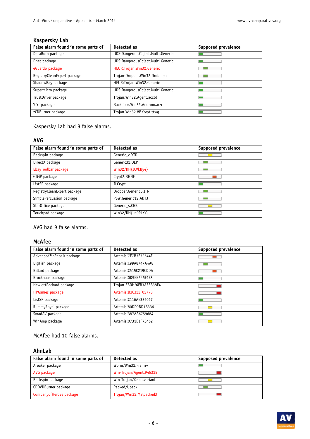## **Kaspersky Lab**

| False alarm found in some parts of | Detected as                       | <b>Supposed prevalence</b> |
|------------------------------------|-----------------------------------|----------------------------|
| DataBurn package                   | UDS:DangerousObject.Multi.Generic |                            |
| Dnet package                       | UDS:DangerousObject.Multi.Generic |                            |
| eGuardo package                    | HEUR: Trojan. Win32. Generic      |                            |
| RegistryCleanExpert package        | Trojan-Dropper.Win32.Drob.apa     |                            |
| ShadowBay package                  | HEUR: Trojan. Win32. Generic      |                            |
| Supermicro package                 | UDS:DangerousObject.Multi.Generic |                            |
| TrustDriver package                | Trojan.Win32.Agent.acctd          |                            |
| YiYi package                       | Backdoor.Win32.Androm.arzr        |                            |
| zCDBurner package                  | Trojan.Win32.VBKrypt.ttwq         |                            |

Kaspersky Lab had 9 false alarms.

## **AVG**

| False alarm found in some parts of | Detected as          | <b>Supposed prevalence</b> |
|------------------------------------|----------------------|----------------------------|
| Backspin package                   | Generic c.YTD        |                            |
| DirectX package                    | Generic32.0EP        |                            |
| EbayToolbar package                | Win32/DH{ICVkBy4}    |                            |
| GIMP package                       | Crypt2.BHNF          |                            |
| ListSP package                     | ILCrypt              |                            |
| RegistryCleanExpert package        | Dropper.Generic6.IFN |                            |
| SimplePercussion package           | PSW.Generic12.ADTJ   |                            |
| StarOffice package                 | Generic s.CGB        |                            |
| Touchpad package                   | Win32/DH{Ln0PLXs}    |                            |

AVG had 9 false alarms.

## **McAfee**

| False alarm found in some parts of | Detected as              | Supposed prevalence |
|------------------------------------|--------------------------|---------------------|
| AdvancedZipRepair package          | Artemis!7E7B3E32544F     |                     |
| BigFish package                    | Artemis!C99A8747A4A8     |                     |
| Billard package                    | Artemis!C515C219CDDA     |                     |
| Brockhaus package                  | Artemis!0D5EB245F1F8     |                     |
| HewlettPackard package             | Trojan-FBOH!6FB3AEEB38F4 |                     |
| <b>HPGames package</b>             | Artemis!B3C322F02778     |                     |
| ListSP package                     | Artemis!C116AE325067     |                     |
| RummyRoyal package                 | Artemis!80DD9BD1B336     |                     |
| SmadAV package                     | Artemis!387AA6759684     |                     |
| WinAmp package                     | Artemis!0731D1F73462     |                     |

## McAfee had 10 false alarms.

## **AhnLab**

| False alarm found in some parts of | Detected as             | Supposed prevalence |
|------------------------------------|-------------------------|---------------------|
| Areaker package                    | Worm/Win32.Franriv      |                     |
| AVG package                        | Win-Trojan/Agent.945328 |                     |
| Backspin package                   | Win-Trojan/Xema.variant |                     |
| CDDVDBurner package                | Packed/Upack            |                     |
| CompanyofHeroes package            | Trojan/Win32.Malpacked3 |                     |

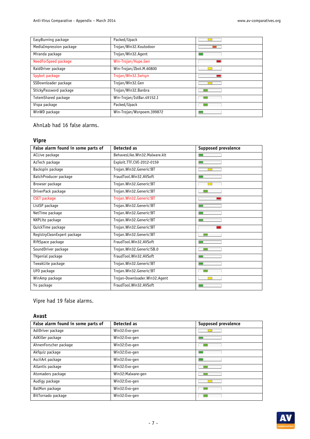| EasyBurning package     | Packed/Upack              |  |
|-------------------------|---------------------------|--|
| MediaImpression package | Trojan/Win32.Koutodoor    |  |
| Miranda package         | Trojan/Win32.Agent        |  |
| NeedForSpeed package    | Win-Trojan/Hupe.Gen       |  |
| RaidDriver package      | Win-Trojan/Zbot.M.60800   |  |
| Spybot package          | Trojan/Win32.Swisyn       |  |
| SSDownloader package    | Trojan/Win32.Gen          |  |
| StickyPassword package  | Trojan/Win32.Banbra       |  |
| TotemShared package     | Win-Trojan/IstBar.49152.I |  |
| Vispa package           | Packed/Upack              |  |
| WinWD package           | Win-Trojan/Wsnpoem.399872 |  |

AhnLab had 16 false alarms.

## **Vipre**

| False alarm found in some parts of | Detected as                   | <b>Supposed prevalence</b> |
|------------------------------------|-------------------------------|----------------------------|
| ACLive package                     | BehavesLike.Win32.Malware.klt |                            |
| AzTech package                     | Exploit.TTF.CVE-2012-0159     |                            |
| Backspin package                   | Trojan.Win32.Generic!BT       |                            |
| BatchProducer package              | FraudTool.Win32.AVSoft        |                            |
| Browser package                    | Trojan.Win32.Generic!BT       |                            |
| DriverPack package                 | Trojan. Win32. Generic!BT     |                            |
| <b>ESET package</b>                | Trojan. Win32. Generic! BT    |                            |
| ListSP package                     | Trojan.Win32.Generic!BT       |                            |
| NetTime package                    | Trojan.Win32.Generic!BT       |                            |
| NXPLite package                    | Trojan.Win32.Generic!BT       |                            |
| QuickTime package                  | Trojan.Win32.Generic!BT       |                            |
| RegistryCleanExpert package        | Trojan.Win32.Generic!BT       |                            |
| RiftSpace package                  | FraudTool.Win32.AVSoft        |                            |
| SoundDriver package                | Trojan.Win32.Generic!SB.0     |                            |
| TVgenial package                   | FraudTool.Win32.AVSoft        |                            |
| TweakLite package                  | Trojan.Win32.Generic!BT       |                            |
| UFO package                        | Trojan.Win32.Generic!BT       |                            |
| WinAmp package                     | Trojan-Downloader.Win32.Agent |                            |
| Yo package                         | FraudTool.Win32.AVSoft        |                            |

Vipre had 19 false alarms.

## **Avast**

| False alarm found in some parts of | Detected as       | <b>Supposed prevalence</b> |
|------------------------------------|-------------------|----------------------------|
| AdiDriver package                  | Win32:Evo-gen     |                            |
| AdKiller package                   | Win32:Evo-gen     |                            |
| AhnenForscher package              | Win32:Evo-gen     |                            |
| Akfquiz package                    | Win32:Evo-gen     |                            |
| AsciiArt package                   | Win32:Evo-gen     |                            |
| Atlantis package                   | Win32:Evo-gen     |                            |
| Atomaders package                  | Win32:Malware-gen |                            |
| Audigy package                     | Win32:Evo-gen     |                            |
| BatMon package                     | Win32:Evo-gen     |                            |
| BitTornado package                 | Win32:Evo-gen     |                            |

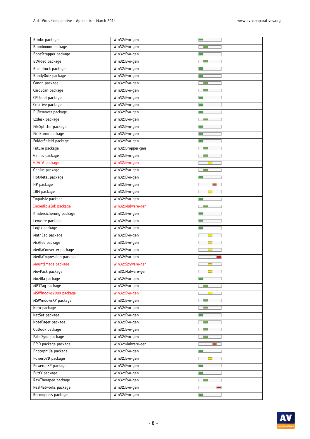| Anti-Virus Comparative - Appendix – March 2014 | www.av-comparatives.org |
|------------------------------------------------|-------------------------|
|------------------------------------------------|-------------------------|

| Blinkx package          | Win32:Evo-gen      |                          |
|-------------------------|--------------------|--------------------------|
| Bloodmoon package       | Win32:Evo-gen      | $\sim 10$                |
| BootStrapper package    | Win32:Evo-gen      |                          |
| BtVideo package         | Win32:Evo-gen      |                          |
| Buchdruck package       | Win32:Evo-gen      |                          |
| BundyQuiz package       | Win32:Evo-gen      | $\blacksquare$           |
| Canon package           | Win32:Evo-gen      |                          |
| CardScan package        | Win32:Evo-gen      |                          |
| CPUcool package         | Win32:Evo-gen      |                          |
| Creative package        | Win32:Evo-gen      |                          |
| DllRemover package      | Win32:Evo-gen      |                          |
| Ezdesk package          | Win32:Evo-gen      |                          |
| FileSplitter package    | Win32:Evo-gen      | $\Box$                   |
| FireStorm package       | Win32:Evo-gen      | $\Box$                   |
| FolderShield package    | Win32:Evo-gen      | $\Box$                   |
| Future package          | Win32:Dropper-gen  |                          |
| Games package           | Win32:Evo-gen      | <b>Till</b>              |
| <b>GDATA</b> package    | Win32:Evo-gen      | <b>COL</b>               |
| Genius package          | Win32:Evo-gen      | <b>Tara</b>              |
| HotMetal package        | Win32:Evo-gen      | $\Box$                   |
| HP package              | Win32:Evo-gen      |                          |
| <b>IBM</b> package      | Win32:Evo-gen      | $\Box$                   |
| Impulsiv package        | Win32:Evo-gen      | $\sim$                   |
| IncredibleInk package   | Win32: Malware-gen |                          |
| Kindersicherung package | Win32:Evo-gen      | $\blacksquare$           |
| Lexware package         | Win32:Evo-gen      | $\Box$                   |
| Logik package           | Win32:Evo-gen      |                          |
| MathCad package         | Win32:Evo-gen      | $\Box$                   |
| McAfee package          | Win32:Evo-gen      |                          |
| MediaConverter package  | Win32:Evo-gen      |                          |
| MediaImpression package | Win32:Evo-gen      |                          |
| MountImage package      | Win32:Spyware-gen  |                          |
| MovPack package         | Win32:Malware-gen  |                          |
| Mozilla package         | Win32:Evo-gen      |                          |
| MP3Tag package          | Win32:Evo-gen      |                          |
| MSWindows2000 package   | Win32:Evo-gen      | <b>Contract Contract</b> |
| MSWindowsXP package     | Win32:Evo-gen      | <b>Contract</b>          |
| Nero package            | Win32:Evo-gen      |                          |
| NetSet package          | Win32:Evo-gen      |                          |
| NotePager package       | Win32:Evo-gen      |                          |
| Outlook package         | Win32:Evo-gen      |                          |
| PalmSync package        | Win32:Evo-gen      |                          |
| PEiD package package    | Win32: Malware-gen |                          |
| Photophilia package     | Win32:Evo-gen      |                          |
| PowerDVD package        | Win32:Evo-gen      |                          |
| PowerupXP package       | Win32:Evo-gen      |                          |
| PuttY package           | Win32:Evo-gen      |                          |
| RawTherapee package     | Win32:Evo-gen      | <b>Contract</b>          |
| RealNetworks package    | Win32:Evo-gen      |                          |
| Recompress package      | Win32:Evo-gen      | $\Box$                   |
|                         |                    |                          |

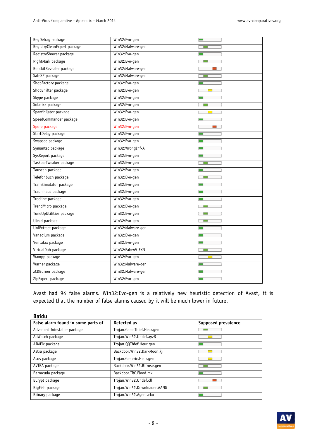| RegDefrag package           | Win32:Evo-gen      |        |
|-----------------------------|--------------------|--------|
| RegistryCleanExpert package | Win32:Malware-gen  |        |
| RegistryShower package      | Win32:Evo-gen      |        |
| RightMark package           | Win32:Evo-gen      |        |
| RootkitRevealer package     | Win32: Malware-gen | $\sim$ |
| SafeXP package              | Win32:Malware-gen  |        |
| ShopFactory package         | Win32:Evo-gen      |        |
| ShopShifter package         | Win32:Evo-gen      |        |
| Skype package               | Win32:Evo-gen      |        |
| Solarixx package            | Win32:Evo-gen      |        |
| Spamihilator package        | Win32:Evo-gen      |        |
| SpeedCommander package      | Win32:Evo-gen      |        |
| Spore package               | Win32:Evo-gen      |        |
| StartDelay package          | Win32:Evo-gen      | $\Box$ |
| Swapsee package             | Win32:Evo-gen      |        |
| Symantec package            | Win32:WrongInf-A   |        |
| SysReport package           | Win32:Evo-gen      | $\Box$ |
| TaskbarTweaker package      | Win32:Evo-gen      |        |
| Tauscan package             | Win32:Evo-gen      | $\Box$ |
| Telefonbuch package         | Win32:Evo-gen      |        |
| TrainSimulator package      | Win32:Evo-gen      |        |
| Traumhaus package           | Win32:Evo-gen      |        |
| Treeline package            | Win32:Evo-gen      |        |
| TrendMicro package          | Win32:Evo-gen      |        |
| TuneUpUtilities package     | Win32:Evo-gen      |        |
| Ulead package               | Win32:Evo-gen      |        |
| UniExtract package          | Win32: Malware-gen |        |
| Vanadium package            | Win32:Evo-gen      |        |
| Ventafax package            | Win32:Evo-gen      |        |
| VirtualDub package          | Win32:FakeAV-EXN   |        |
| Wampp package               | Win32:Evo-gen      |        |
| Warner package              | Win32:Malware-gen  |        |
| zCDBurner package           | Win32:Malware-gen  |        |
| ZipExpert package           | Win32:Evo-gen      |        |

Avast had 94 false alarms. Win32:Evo-gen is a relatively new heuristic detection of Avast, it is expected that the number of false alarms caused by it will be much lower in future.

| <b>Baidu</b>                       |                              |                            |
|------------------------------------|------------------------------|----------------------------|
| False alarm found in some parts of | Detected as                  | <b>Supposed prevalence</b> |
| AdvancedUninstaller package        | Trojan.GameThief.Heur.gen    |                            |
| AdWatch package                    | Trojan.Win32.Undef.ayzB      |                            |
| AIMFix package                     | Trojan.QQThief.Heur.gen      |                            |
| Astra package                      | Backdoor.Win32.DarkMoon.kj   |                            |
| Asus package                       | Trojan.Generic.Heur.gen      |                            |
| AVIRA package                      | Backdoor.Win32.Bifrose.gen   |                            |
| Barracuda package                  | Backdoor.IRC.Flood.mk        |                            |
| BCrypt package                     | Trojan.Win32.Undef.cll       |                            |
| BigFish package                    | Trojan.Win32.Downloader.AANG |                            |
| Biinary package                    | Trojan.Win32.Agent.cku       |                            |

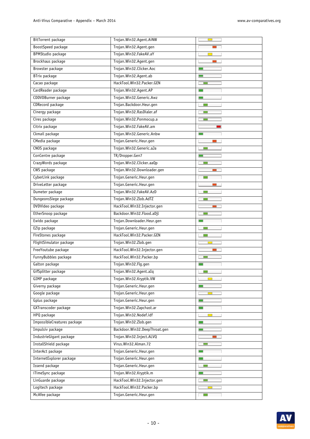| BitTorrent package          | Trojan.Win32.Agent.AiNW       |                          |  |
|-----------------------------|-------------------------------|--------------------------|--|
| BoostSpeed package          | Trojan.Win32.Agent.gen        |                          |  |
| <b>BPMStudio package</b>    | Trojan. Win32. FakeAV.aY      |                          |  |
| Brockhaus package           | Trojan.Win32.Agent.gen        |                          |  |
| Browster package            | Trojan.Win32.Clicker.Aoc      | <b>Contract Contract</b> |  |
| BTrix package               | Trojan.Win32.Agent.ab         |                          |  |
| Cacao package               | HackTool.Win32.Packer.GEN     |                          |  |
| CardReader package          | Trojan.Win32.Agent.AP         |                          |  |
| CDDVDBurner package         | Trojan.Win32.Generic.Awz      |                          |  |
| CDRecord package            | Trojan.Backdoor.Heur.gen      |                          |  |
| Cinergy package             | Trojan.Win32.RasDialer.af     | <b>COLL</b>              |  |
| Cires package               | Trojan.Win32.Ponmocup.a       |                          |  |
| Citrix package              | Trojan.Win32.FakeAV.am        | $\blacksquare$           |  |
| Ckmail package              | Trojan.Win32.Generic.Anbw     |                          |  |
| CMedia package              | Trojan.Generic.Heur.gen       |                          |  |
| CNOS package                | Trojan.Win32.Generic.aJa      | <b>The State</b>         |  |
| ConCentre package           | TR/Dropper.Gen7               | $\Box$                   |  |
| CrazyWords package          | Trojan.Win32.Clicker.aaQp     |                          |  |
| CWS package                 | Trojan.Win32.Downloader.gen   |                          |  |
| CyberLink package           | Trojan.Generic.Heur.gen       |                          |  |
| DriveLetter package         | Trojan.Generic.Heur.gen       |                          |  |
| Dumeter package             | Trojan.Win32.FakeAV.AzD       | <b>College</b>           |  |
| DungeonsSiege package       | Trojan.Win32.Zlob.AdTZ        |                          |  |
| DVDVideo package            | HackTool.Win32.Injector.gen   |                          |  |
| EtherSnoop package          | Backdoor.Win32.Flood.aDjl     |                          |  |
| Ewido package               | Trojan.Downloader.Heur.gen    |                          |  |
| EZip package                | Trojan.Generic.Heur.gen       | <b>Tara</b>              |  |
| FireStones package          | HackTool.Win32.Packer.GEN     | $\sim$                   |  |
| FlightSimulator package     | Trojan.Win32.Zlob.gen         |                          |  |
| FreeYoutube package         | HackTool.Win32.Injector.gen   |                          |  |
| FunnyBubbles package        | HackTool.Win32.Packer.bp      |                          |  |
| Galton package              | Trojan.Win32.Flq.qen          |                          |  |
| GifSplitter package         | Trojan.Win32.Agent.aIq        | $\sim$                   |  |
| GIMP package                | Trojan.Win32.Kryptik.VW       |                          |  |
| Giverny package             | Trojan.Generic.Heur.gen       |                          |  |
| Google package              | Trojan.Generic.Heur.gen       |                          |  |
| Gplus package               | Trojan.Generic.Heur.gen       |                          |  |
| GXTranscoder package        | Trojan.Win32.Zapchast.ar      |                          |  |
| HPQ package                 | Trojan.Win32.Nodef.idf        |                          |  |
| ImpossibleCreatures package | Trojan.Win32.Zlob.gen         | <b>The State</b>         |  |
| Impulsiv package            | Backdoor.Win32.DeepThroat.gen |                          |  |
| IndustrieGigant package     | Trojan.Win32.Inject.ALVQ      | m.                       |  |
| InstallShield package       | Virus. Win32. Alman. 72       |                          |  |
| InterAct package            | Trojan.Generic.Heur.gen       |                          |  |
| InternetExplorer package    | Trojan.Generic.Heur.gen       | $\Box$                   |  |
| Issend package              | Trojan.Generic.Heur.gen       | <b>The State</b>         |  |
| iTimeSync package           | Trojan.Win32.Kryptik.m        |                          |  |
| LinGuarde package           | HackTool.Win32.Injector.gen   |                          |  |
| Logitech package            | HackTool.Win32.Packer.bp      | $\Box$                   |  |
| McAfee package              | Trojan.Generic.Heur.gen       |                          |  |

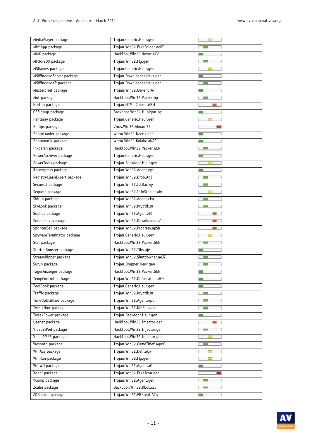| MediaPlayer package         | Trojan.Generic.Heur.gen      |                          |
|-----------------------------|------------------------------|--------------------------|
| MiniApp package             | Trojan.Win32.FakeFolder.AekI |                          |
| MMK package                 | HackTool.Win32.Nexus.aCV     |                          |
| MP3or200 package            | Trojan. Win32. Flg.gen       |                          |
| MSGames package             | Trojan.Generic.Heur.gen      | <b>COL</b>               |
| MSWindowsServer package     | Trojan.Downloader.Heur.gen   |                          |
| MSWindowsXP package         | Trojan.Downloader.Heur.gen   |                          |
| Musterbrief package         | Trojan.Win32.Generic.Ai      |                          |
| Mut package                 | HackTool.Win32.Packer.bp     |                          |
| Norton package              | Trojan.HTML.Clicker.ABH      |                          |
| OESignup package            | Backdoor.Win32.Hupigon.agi   |                          |
| Pantaray package            | Trojan.Generic.Heur.gen      |                          |
| Philips package             | Virus.Win32.Alman.72         |                          |
| PhotoLoader package         | Worm.Win32.Neeris.gen        |                          |
| Photomatix package          | Worm.Win32.Kolabc.aNJC       |                          |
| Pixperan package            | HackTool.Win32.Packer.GEN    |                          |
| PowerArchiver package       | Trojan.Generic.Heur.gen      | <b>Contract</b>          |
| PowerTools package          | Trojan.Backdoor.Heur.gen     |                          |
| Recompress package          | Trojan.Win32.Agent.ept       |                          |
| RegistryCleanExpert package | Trojan.Win32.Drob.AgI        |                          |
| SecureIt package            | Trojan.Win32.IstBar.wy       |                          |
| Sequoia package             | Trojan.Win32.InfoStealer.aiy |                          |
| Skirun package              | Trojan.Win32.Agent.cku       | □                        |
| SkyLook package             | Trojan.Win32.Kryptik.m       |                          |
| Sophos package              | Trojan.Win32.Agent.50        |                          |
| Soundmax package            | Trojan.Win32.Downloader.aJ   |                          |
| SplinterCell package        | Trojan.Win32.Program.apSb    |                          |
| SpywareTerminator package   | Trojan.Generic.Heur.gen      | <b>Contract</b>          |
| Star package                | HackTool.Win32.Packer.GEN    |                          |
| StartupBooster package      | Trojan. Win32. Tibs.aje      | <b>Contract</b>          |
| StreamRipper package        | Trojan.Win32.Shutdowner.aeJZ |                          |
| Surun package               | Trojan.Dropper.Heur.gen      |                          |
| TagesAnzeiger package       | HackTool.Win32.Packer.GEN    | <b>Contract</b>          |
| TempControl package         | Trojan.Win32.Obfuscated.aHOL |                          |
| ToolBook package            | Trojan.Generic.Heur.gen      | $\Box$                   |
| Traffic package             | Trojan.Win32.Kryptik.m       | <b>COL</b>               |
| TuneUpUtilities package     | Trojan.Win32.Agent.ept       |                          |
| TweakNow package            | Trojan.Win32.KillFiles.mn    |                          |
| TweakPower package          | Trojan.Backdoor.Heur.gen     | m.                       |
| Usenet package              | HackTool.Win32.Injector.gen  | $\sim 10$                |
| Video2iPod package          | HackTool.Win32.Injector.gen  |                          |
| Video2MP3 package           | HackTool.Win32.Injector.gen  |                          |
| Wesnoth package             | Trojan.Win32.GameThief.AqwY  |                          |
| WinAce package              | Trojan. Win32. Delf. akjv    | $\overline{\phantom{0}}$ |
| WinRun package              | Trojan.Win32.Flg.gen         | $\Box$                   |
| WinWD package               | Trojan.Win32.Agent.aQ        |                          |
| Xobni package               | Trojan.Win32.FakeIcon.gen    |                          |
| Ycomp package               | Trojan.Win32.Agent.gen       |                          |
| Zcube package               | Backdoor.Win32.Rbot.csb      | ⊏                        |
| ZDBackup package            | Trojan.Win32.VBKrypt.ATq     |                          |

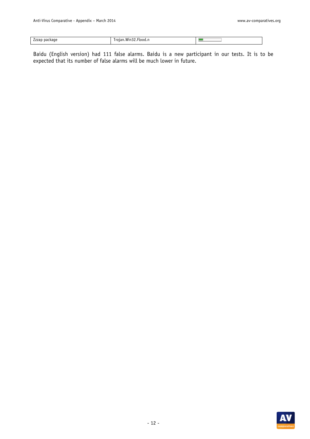| $\sim$<br>Zzzap package | Win32<br>'roian.<br>∵.Flood.r. |  |
|-------------------------|--------------------------------|--|

Baidu (English version) had 111 false alarms. Baidu is a new participant in our tests. It is to be expected that its number of false alarms will be much lower in future.